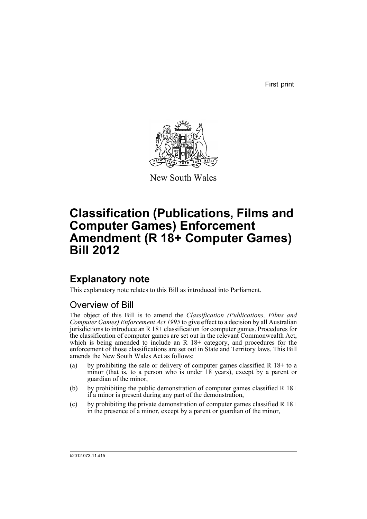First print



New South Wales

# **Classification (Publications, Films and Computer Games) Enforcement Amendment (R 18+ Computer Games) Bill 2012**

## **Explanatory note**

This explanatory note relates to this Bill as introduced into Parliament.

## Overview of Bill

The object of this Bill is to amend the *Classification (Publications, Films and Computer Games) Enforcement Act 1995* to give effect to a decision by all Australian jurisdictions to introduce an R 18+ classification for computer games. Procedures for the classification of computer games are set out in the relevant Commonwealth Act, which is being amended to include an R 18+ category, and procedures for the enforcement of those classifications are set out in State and Territory laws. This Bill amends the New South Wales Act as follows:

- (a) by prohibiting the sale or delivery of computer games classified R  $18+$  to a minor (that is, to a person who is under 18 years), except by a parent or guardian of the minor,
- (b) by prohibiting the public demonstration of computer games classified R  $18+$ if a minor is present during any part of the demonstration,
- (c) by prohibiting the private demonstration of computer games classified R  $18+$ in the presence of a minor, except by a parent or guardian of the minor,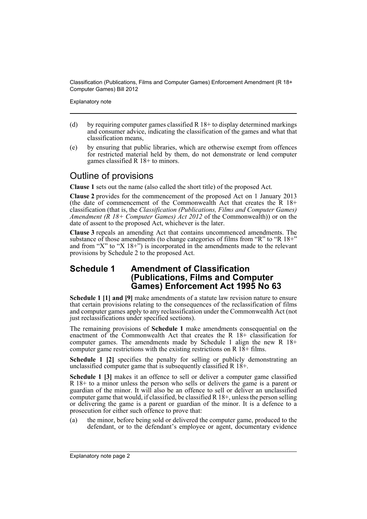Explanatory note

- (d) by requiring computer games classified  $R$  18+ to display determined markings and consumer advice, indicating the classification of the games and what that classification means,
- (e) by ensuring that public libraries, which are otherwise exempt from offences for restricted material held by them, do not demonstrate or lend computer games classified R 18+ to minors.

## Outline of provisions

**Clause 1** sets out the name (also called the short title) of the proposed Act.

**Clause 2** provides for the commencement of the proposed Act on 1 January 2013 (the date of commencement of the Commonwealth Act that creates the  $R$  18+ classification (that is, the *Classification (Publications, Films and Computer Games) Amendment (R 18+ Computer Games) Act 2012* of the Commonwealth)) or on the date of assent to the proposed Act, whichever is the later.

**Clause 3** repeals an amending Act that contains uncommenced amendments. The substance of those amendments (to change categories of films from "R" to "R 18+" and from "X" to "X 18+") is incorporated in the amendments made to the relevant provisions by Schedule 2 to the proposed Act.

### **Schedule 1 Amendment of Classification (Publications, Films and Computer Games) Enforcement Act 1995 No 63**

**Schedule 1 [1] and [9]** make amendments of a statute law revision nature to ensure that certain provisions relating to the consequences of the reclassification of films and computer games apply to any reclassification under the Commonwealth Act (not just reclassifications under specified sections).

The remaining provisions of **Schedule 1** make amendments consequential on the enactment of the Commonwealth Act that creates the R 18+ classification for computer games. The amendments made by Schedule 1 align the new R 18+ computer game restrictions with the existing restrictions on  $R$  1 $\bar{8}$ + films.

**Schedule 1 [2]** specifies the penalty for selling or publicly demonstrating an unclassified computer game that is subsequently classified R 18+.

**Schedule 1 [3]** makes it an offence to sell or deliver a computer game classified R 18+ to a minor unless the person who sells or delivers the game is a parent or guardian of the minor. It will also be an offence to sell or deliver an unclassified computer game that would, if classified, be classified  $R$  18+, unless the person selling or delivering the game is a parent or guardian of the minor. It is a defence to a prosecution for either such offence to prove that:

(a) the minor, before being sold or delivered the computer game, produced to the defendant, or to the defendant's employee or agent, documentary evidence

Explanatory note page 2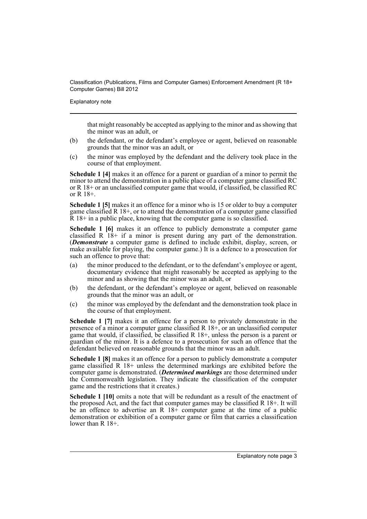Explanatory note

that might reasonably be accepted as applying to the minor and as showing that the minor was an adult, or

- (b) the defendant, or the defendant's employee or agent, believed on reasonable grounds that the minor was an adult, or
- (c) the minor was employed by the defendant and the delivery took place in the course of that employment.

**Schedule 1 [4]** makes it an offence for a parent or guardian of a minor to permit the minor to attend the demonstration in a public place of a computer game classified RC or R 18+ or an unclassified computer game that would, if classified, be classified RC or R 18+.

**Schedule 1 [5]** makes it an offence for a minor who is 15 or older to buy a computer game classified R 18+, or to attend the demonstration of a computer game classified  $\bar{R}$  18+ in a public place, knowing that the computer game is so classified.

**Schedule 1 [6]** makes it an offence to publicly demonstrate a computer game classified R 18+ if a minor is present during any part of the demonstration. (*Demonstrate* a computer game is defined to include exhibit, display, screen, or make available for playing, the computer game.) It is a defence to a prosecution for such an offence to prove that:

- (a) the minor produced to the defendant, or to the defendant's employee or agent, documentary evidence that might reasonably be accepted as applying to the minor and as showing that the minor was an adult, or
- (b) the defendant, or the defendant's employee or agent, believed on reasonable grounds that the minor was an adult, or
- (c) the minor was employed by the defendant and the demonstration took place in the course of that employment.

**Schedule 1 [7]** makes it an offence for a person to privately demonstrate in the presence of a minor a computer game classified  $R$  18+, or an unclassified computer game that would, if classified, be classified R 18+, unless the person is a parent or guardian of the minor. It is a defence to a prosecution for such an offence that the defendant believed on reasonable grounds that the minor was an adult.

**Schedule 1 [8]** makes it an offence for a person to publicly demonstrate a computer game classified R 18+ unless the determined markings are exhibited before the computer game is demonstrated. (*Determined markings* are those determined under the Commonwealth legislation. They indicate the classification of the computer game and the restrictions that it creates.)

**Schedule 1 [10]** omits a note that will be redundant as a result of the enactment of the proposed Act, and the fact that computer games may be classified R 18+. It will be an offence to advertise an R  $18+$  computer game at the time of a public demonstration or exhibition of a computer game or film that carries a classification lower than R 18+.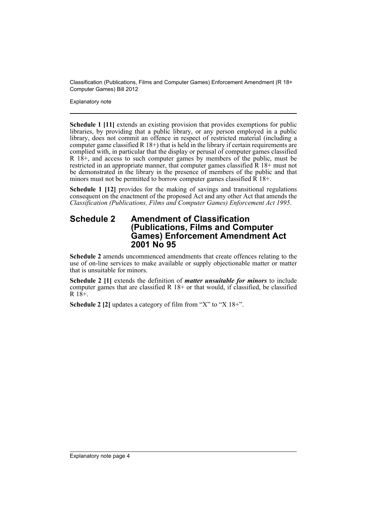Explanatory note

**Schedule 1 [11]** extends an existing provision that provides exemptions for public libraries, by providing that a public library, or any person employed in a public library, does not commit an offence in respect of restricted material (including a computer game classified R 18+) that is held in the library if certain requirements are complied with, in particular that the display or perusal of computer games classified  $R$  18<sup>+</sup>, and access to such computer games by members of the public, must be restricted in an appropriate manner, that computer games classified  $\mathbb{R}$  18+ must not be demonstrated in the library in the presence of members of the public and that minors must not be permitted to borrow computer games classified  $\overline{R}$  18+.

**Schedule 1 [12]** provides for the making of savings and transitional regulations consequent on the enactment of the proposed Act and any other Act that amends the *Classification (Publications, Films and Computer Games) Enforcement Act 1995*.

#### **Schedule 2 Amendment of Classification (Publications, Films and Computer Games) Enforcement Amendment Act 2001 No 95**

**Schedule 2** amends uncommenced amendments that create offences relating to the use of on-line services to make available or supply objectionable matter or matter that is unsuitable for minors.

**Schedule 2 [1]** extends the definition of *matter unsuitable for minors* to include computer games that are classified R 18+ or that would, if classified, be classified  $R$  18+.

**Schedule 2 [2]** updates a category of film from "X" to "X 18+".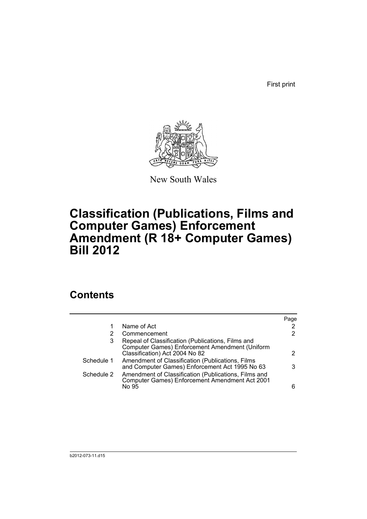First print



New South Wales

# **Classification (Publications, Films and Computer Games) Enforcement Amendment (R 18+ Computer Games) Bill 2012**

## **Contents**

|            |                                                                                                                                       | Page |
|------------|---------------------------------------------------------------------------------------------------------------------------------------|------|
| 1          | Name of Act                                                                                                                           | 2    |
| 2          | Commencement                                                                                                                          | 2    |
| 3          | Repeal of Classification (Publications, Films and<br>Computer Games) Enforcement Amendment (Uniform<br>Classification) Act 2004 No 82 | 2    |
| Schedule 1 | Amendment of Classification (Publications, Films<br>and Computer Games) Enforcement Act 1995 No 63                                    | 3    |
| Schedule 2 | Amendment of Classification (Publications, Films and<br>Computer Games) Enforcement Amendment Act 2001<br>No 95                       | 6    |
|            |                                                                                                                                       |      |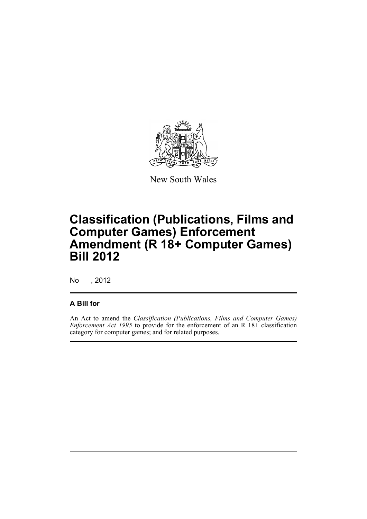

New South Wales

# **Classification (Publications, Films and Computer Games) Enforcement Amendment (R 18+ Computer Games) Bill 2012**

No , 2012

### **A Bill for**

An Act to amend the *Classification (Publications, Films and Computer Games) Enforcement Act 1995* to provide for the enforcement of an R 18+ classification category for computer games; and for related purposes.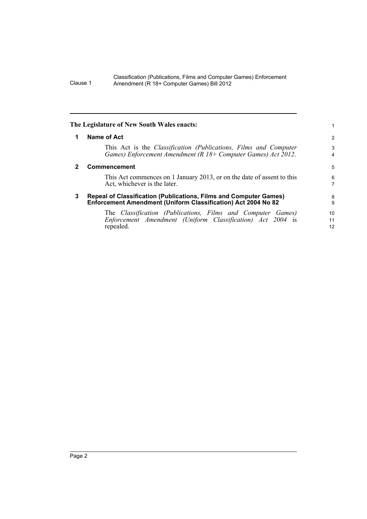<span id="page-7-2"></span><span id="page-7-1"></span><span id="page-7-0"></span>

|   | The Legislature of New South Wales enacts:                                                                                                    |                             |
|---|-----------------------------------------------------------------------------------------------------------------------------------------------|-----------------------------|
| 1 | Name of Act                                                                                                                                   | 2                           |
|   | This Act is the <i>Classification (Publications, Films and Computer</i><br>Games) Enforcement Amendment (R $18+$ Computer Games) Act $2012$ . | 3<br>4                      |
|   | Commencement                                                                                                                                  | 5                           |
|   | This Act commences on 1 January 2013, or on the date of assent to this<br>Act, whichever is the later.                                        | 6<br>$\overline{7}$         |
| 3 | <b>Repeal of Classification (Publications, Films and Computer Games)</b><br>Enforcement Amendment (Uniform Classification) Act 2004 No 82     | 8<br>9                      |
|   | The Classification (Publications, Films and Computer Games)<br>Enforcement Amendment (Uniform Classification) Act 2004 is<br>repealed.        | 10 <sup>1</sup><br>11<br>12 |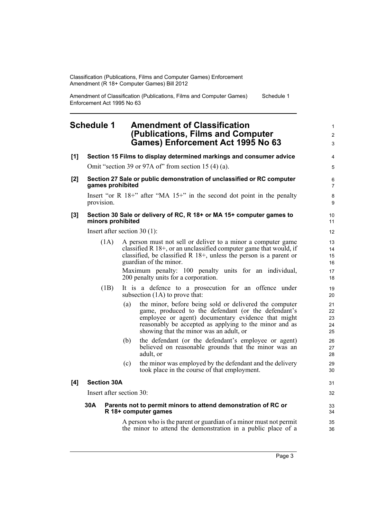Amendment of Classification (Publications, Films and Computer Games) Enforcement Act 1995 No 63 Schedule 1

### <span id="page-8-0"></span>**Schedule 1 Amendment of Classification (Publications, Films and Computer Games) Enforcement Act 1995 No 63**

- **[1] Section 15 Films to display determined markings and consumer advice** Omit "section 39 or 97A of" from section 15 (4) (a).
- **[2] Section 27 Sale or public demonstration of unclassified or RC computer games prohibited**

Insert "or R 18+" after "MA 15+" in the second dot point in the penalty provision.

#### **[3] Section 30 Sale or delivery of RC, R 18+ or MA 15+ computer games to minors prohibited**

Insert after section 30 (1):

(1A) A person must not sell or deliver to a minor a computer game classified R 18+, or an unclassified computer game that would, if classified, be classified R 18+, unless the person is a parent or guardian of the minor.

> Maximum penalty: 100 penalty units for an individual, 200 penalty units for a corporation.

- (1B) It is a defence to a prosecution for an offence under subsection (1A) to prove that:
	- (a) the minor, before being sold or delivered the computer game, produced to the defendant (or the defendant's employee or agent) documentary evidence that might reasonably be accepted as applying to the minor and as showing that the minor was an adult, or
	- (b) the defendant (or the defendant's employee or agent) believed on reasonable grounds that the minor was an adult, or
	- (c) the minor was employed by the defendant and the delivery took place in the course of that employment.

#### **[4] Section 30A**

Insert after section 30:

#### **30A Parents not to permit minors to attend demonstration of RC or R 18+ computer games**

A person who is the parent or guardian of a minor must not permit the minor to attend the demonstration in a public place of a 1  $\mathfrak{p}$ 3

4 5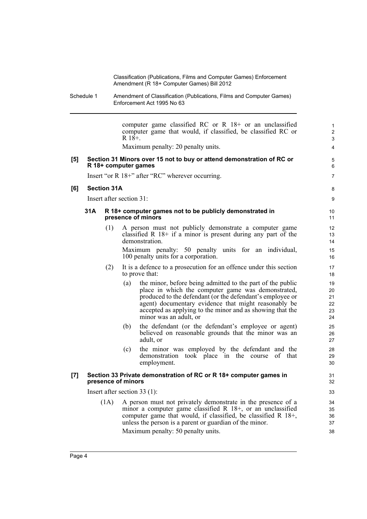> 5 6 7

> 8 9

Schedule 1 Amendment of Classification (Publications, Films and Computer Games) Enforcement Act 1995 No 63

computer game classified RC or R 18+ or an unclassified computer game that would, if classified, be classified RC or  $R$  18+. Maximum penalty: 20 penalty units. **[5] Section 31 Minors over 15 not to buy or attend demonstration of RC or R 18+ computer games** Insert "or R 18+" after "RC" wherever occurring. **[6] Section 31A** Insert after section 31: **31A R 18+ computer games not to be publicly demonstrated in presence of minors** (1) A person must not publicly demonstrate a computer game classified R  $18+$  if a minor is present during any part of the demonstration. Maximum penalty: 50 penalty units for an individual, 100 penalty units for a corporation. (2) It is a defence to a prosecution for an offence under this section to prove that: (a) the minor, before being admitted to the part of the public place in which the computer game was demonstrated, produced to the defendant (or the defendant's employee or agent) documentary evidence that might reasonably be accepted as applying to the minor and as showing that the minor was an adult, or (b) the defendant (or the defendant's employee or agent) believed on reasonable grounds that the minor was an adult, or (c) the minor was employed by the defendant and the demonstration took place in the course of that employment. **[7] Section 33 Private demonstration of RC or R 18+ computer games in presence of minors** Insert after section 33 (1): (1A) A person must not privately demonstrate in the presence of a minor a computer game classified R 18+, or an unclassified computer game that would, if classified, be classified R 18+, unless the person is a parent or guardian of the minor. Maximum penalty: 50 penalty units. 10 11 12 13 14 15 16 17 18 19 20 21 22 23 24 25 26 27 28 29 30 31 32 33 34 35 36 37 38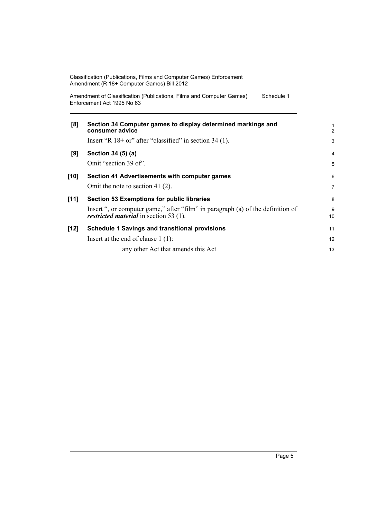| Classification (Publications, Films and Computer Games) Enforcement |  |
|---------------------------------------------------------------------|--|
| Amendment (R 18+ Computer Games) Bill 2012                          |  |

Amendment of Classification (Publications, Films and Computer Games) Enforcement Act 1995 No 63 Schedule 1

| [8]    | Section 34 Computer games to display determined markings and<br>consumer advice<br>Insert "R $18+$ or" after "classified" in section 34 (1).                                          | $\frac{1}{2}$<br>3  |
|--------|---------------------------------------------------------------------------------------------------------------------------------------------------------------------------------------|---------------------|
| [9]    | Section 34 (5) (a)<br>Omit "section 39 of".                                                                                                                                           | $\overline{4}$<br>5 |
| $[10]$ | Section 41 Advertisements with computer games<br>Omit the note to section 41 $(2)$ .                                                                                                  | 6<br>7              |
| [11]   | <b>Section 53 Exemptions for public libraries</b><br>Insert ", or computer game," after "film" in paragraph (a) of the definition of<br><i>restricted material</i> in section 53 (1). | 8<br>9<br>10        |
| $[12]$ | <b>Schedule 1 Savings and transitional provisions</b>                                                                                                                                 | 11                  |
|        | Insert at the end of clause $1(1)$ :                                                                                                                                                  | 12                  |
|        | any other Act that amends this Act                                                                                                                                                    | 13                  |